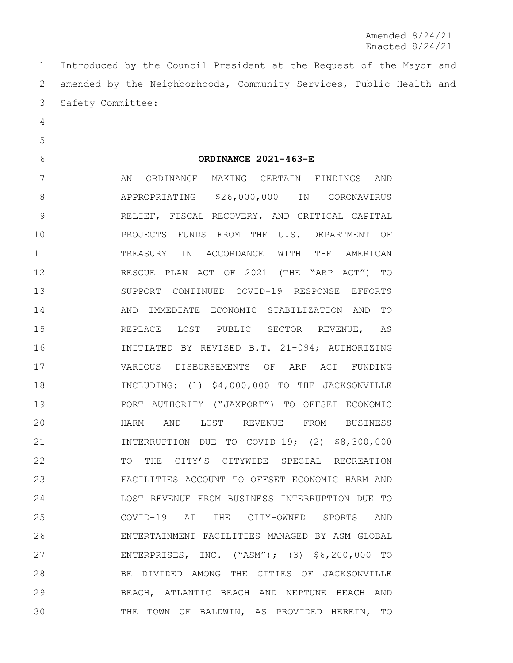Amended 8/24/21 Enacted 8/24/21

 Introduced by the Council President at the Request of the Mayor and 2 amended by the Neighborhoods, Community Services, Public Health and 3 | Safety Committee:

**ORDINANCE 2021-463-E**

7 | AN ORDINANCE MAKING CERTAIN FINDINGS AND 8 APPROPRIATING \$26,000,000 IN CORONAVIRUS 9 RELIEF, FISCAL RECOVERY, AND CRITICAL CAPITAL PROJECTS FUNDS FROM THE U.S. DEPARTMENT OF TREASURY IN ACCORDANCE WITH THE AMERICAN RESCUE PLAN ACT OF 2021 (THE "ARP ACT") TO SUPPORT CONTINUED COVID-19 RESPONSE EFFORTS 14 AND IMMEDIATE ECONOMIC STABILIZATION AND TO 15 REPLACE LOST PUBLIC SECTOR REVENUE, AS INITIATED BY REVISED B.T. 21-094; AUTHORIZING VARIOUS DISBURSEMENTS OF ARP ACT FUNDING INCLUDING: (1) \$4,000,000 TO THE JACKSONVILLE PORT AUTHORITY ("JAXPORT") TO OFFSET ECONOMIC HARM AND LOST REVENUE FROM BUSINESS INTERRUPTION DUE TO COVID-19; (2) \$8,300,000 22 TO THE CITY'S CITYWIDE SPECIAL RECREATION FACILITIES ACCOUNT TO OFFSET ECONOMIC HARM AND LOST REVENUE FROM BUSINESS INTERRUPTION DUE TO COVID-19 AT THE CITY-OWNED SPORTS AND ENTERTAINMENT FACILITIES MANAGED BY ASM GLOBAL ENTERPRISES, INC. ("ASM"); (3) \$6,200,000 TO 28 BE DIVIDED AMONG THE CITIES OF JACKSONVILLE BEACH, ATLANTIC BEACH AND NEPTUNE BEACH AND 30 THE TOWN OF BALDWIN, AS PROVIDED HEREIN, TO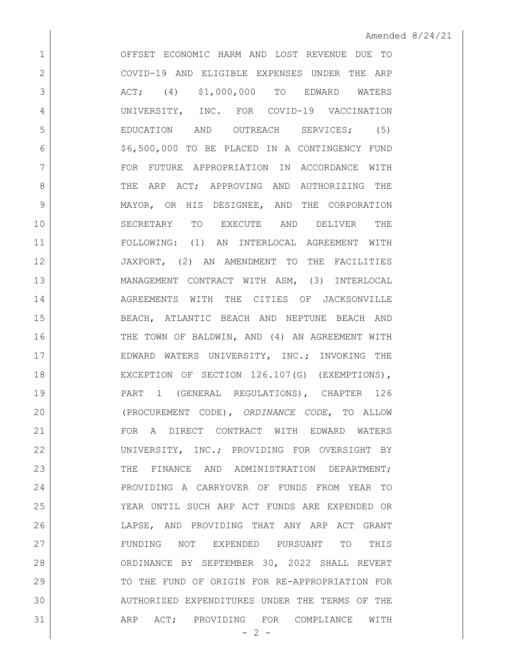OFFSET ECONOMIC HARM AND LOST REVENUE DUE TO COVID-19 AND ELIGIBLE EXPENSES UNDER THE ARP 3 ACT; (4) \$1,000,000 TO EDWARD WATERS UNIVERSITY, INC. FOR COVID-19 VACCINATION 5 EDUCATION AND OUTREACH SERVICES; (5) \$6,500,000 TO BE PLACED IN A CONTINGENCY FUND FOR FUTURE APPROPRIATION IN ACCORDANCE WITH 8 THE ARP ACT: APPROVING AND AUTHORIZING THE MAYOR, OR HIS DESIGNEE, AND THE CORPORATION SECRETARY TO EXECUTE AND DELIVER THE FOLLOWING: (1) AN INTERLOCAL AGREEMENT WITH JAXPORT, (2) AN AMENDMENT TO THE FACILITIES MANAGEMENT CONTRACT WITH ASM, (3) INTERLOCAL 14 AGREEMENTS WITH THE CITIES OF JACKSONVILLE BEACH, ATLANTIC BEACH AND NEPTUNE BEACH AND 16 THE TOWN OF BALDWIN, AND (4) AN AGREEMENT WITH EDWARD WATERS UNIVERSITY, INC.; INVOKING THE 18 EXCEPTION OF SECTION 126.107(G) (EXEMPTIONS), 19 | PART 1 (GENERAL REGULATIONS), CHAPTER 126 (PROCUREMENT CODE), *ORDINANCE CODE*, TO ALLOW FOR A DIRECT CONTRACT WITH EDWARD WATERS UNIVERSITY, INC.; PROVIDING FOR OVERSIGHT BY 23 THE FINANCE AND ADMINISTRATION DEPARTMENT: 24 PROVIDING A CARRYOVER OF FUNDS FROM YEAR TO YEAR UNTIL SUCH ARP ACT FUNDS ARE EXPENDED OR LAPSE, AND PROVIDING THAT ANY ARP ACT GRANT FUNDING NOT EXPENDED PURSUANT TO THIS ORDINANCE BY SEPTEMBER 30, 2022 SHALL REVERT TO THE FUND OF ORIGIN FOR RE-APPROPRIATION FOR AUTHORIZED EXPENDITURES UNDER THE TERMS OF THE 31 ARP ACT; PROVIDING FOR COMPLIANCE WITH

 $- 2 -$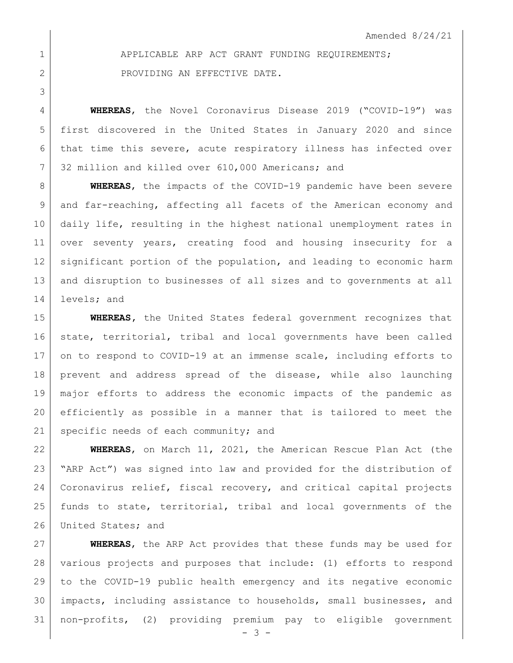1 APPLICABLE ARP ACT GRANT FUNDING REQUIREMENTS; 2 PROVIDING AN EFFECTIVE DATE.

 **WHEREAS**, the Novel Coronavirus Disease 2019 ("COVID-19") was first discovered in the United States in January 2020 and since that time this severe, acute respiratory illness has infected over 7 32 million and killed over 610,000 Americans; and

 **WHEREAS**, the impacts of the COVID-19 pandemic have been severe and far-reaching, affecting all facets of the American economy and daily life, resulting in the highest national unemployment rates in over seventy years, creating food and housing insecurity for a significant portion of the population, and leading to economic harm and disruption to businesses of all sizes and to governments at all 14 levels; and

 **WHEREAS,** the United States federal government recognizes that 16 state, territorial, tribal and local governments have been called 17 on to respond to COVID-19 at an immense scale, including efforts to prevent and address spread of the disease, while also launching major efforts to address the economic impacts of the pandemic as efficiently as possible in a manner that is tailored to meet the 21 specific needs of each community; and

 **WHEREAS**, on March 11, 2021, the American Rescue Plan Act (the "ARP Act") was signed into law and provided for the distribution of Coronavirus relief, fiscal recovery, and critical capital projects 25 | funds to state, territorial, tribal and local governments of the 26 United States; and

 **WHEREAS**, the ARP Act provides that these funds may be used for various projects and purposes that include: (1) efforts to respond to the COVID-19 public health emergency and its negative economic impacts, including assistance to households, small businesses, and non-profits, (2) providing premium pay to eligible government

 $- 3 -$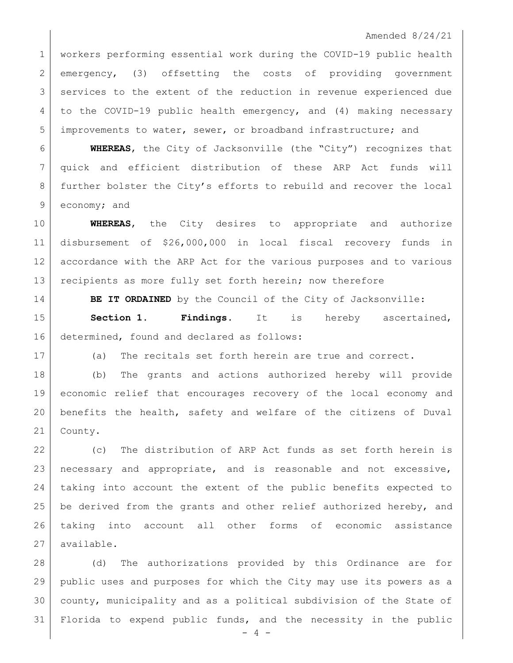workers performing essential work during the COVID-19 public health emergency, (3) offsetting the costs of providing government 3 services to the extent of the reduction in revenue experienced due to the COVID-19 public health emergency, and (4) making necessary improvements to water, sewer, or broadband infrastructure; and

 **WHEREAS**, the City of Jacksonville (the "City") recognizes that quick and efficient distribution of these ARP Act funds will further bolster the City's efforts to rebuild and recover the local economy; and

 **WHEREAS**, the City desires to appropriate and authorize disbursement of \$26,000,000 in local fiscal recovery funds in accordance with the ARP Act for the various purposes and to various 13 recipients as more fully set forth herein; now therefore

**BE IT ORDAINED** by the Council of the City of Jacksonville: **Section 1. Findings**. It is hereby ascertained, 16 determined, found and declared as follows:

(a) The recitals set forth herein are true and correct.

 (b) The grants and actions authorized hereby will provide economic relief that encourages recovery of the local economy and benefits the health, safety and welfare of the citizens of Duval 21 | County.

 (c) The distribution of ARP Act funds as set forth herein is necessary and appropriate, and is reasonable and not excessive, taking into account the extent of the public benefits expected to 25 be derived from the grants and other relief authorized hereby, and taking into account all other forms of economic assistance available.

 (d) The authorizations provided by this Ordinance are for public uses and purposes for which the City may use its powers as a county, municipality and as a political subdivision of the State of Florida to expend public funds, and the necessity in the public

 $- 4 -$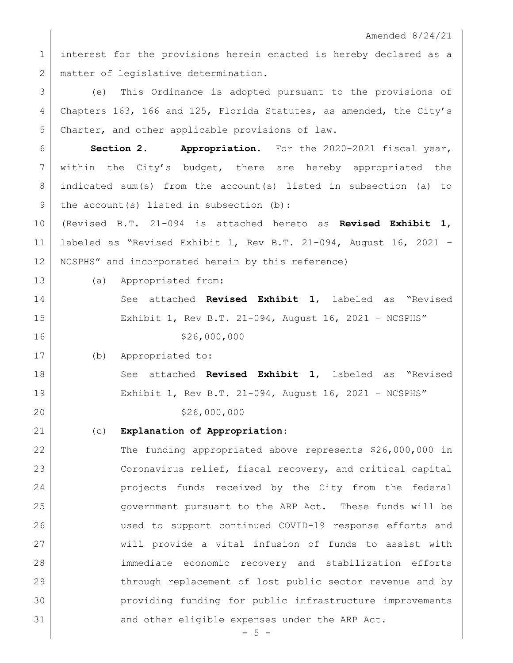interest for the provisions herein enacted is hereby declared as a 2 | matter of legislative determination.

 (e) This Ordinance is adopted pursuant to the provisions of Chapters 163, 166 and 125, Florida Statutes, as amended, the City's Charter, and other applicable provisions of law.

 **Section 2. Appropriation.** For the 2020-2021 fiscal year, 7 within the City's budget, there are hereby appropriated the indicated sum(s) from the account(s) listed in subsection (a) to 9 the account(s) listed in subsection (b):

 (Revised B.T. 21-094 is attached hereto as **Revised Exhibit 1**, labeled as "Revised Exhibit 1, Rev B.T. 21-094, August 16, 2021 – NCSPHS" and incorporated herein by this reference)

(a) Appropriated from:

 See attached **Revised Exhibit 1**, labeled as "Revised Exhibit 1, Rev B.T. 21-094, August 16, 2021 – NCSPHS" 16 \$26,000,000

(b) Appropriated to:

 See attached **Revised Exhibit 1**, labeled as "Revised Exhibit 1, Rev B.T. 21-094, August 16, 2021 – NCSPHS" 20 \$26,000,000

(c) **Explanation of Appropriation**:

 The funding appropriated above represents \$26,000,000 in Coronavirus relief, fiscal recovery, and critical capital projects funds received by the City from the federal government pursuant to the ARP Act. These funds will be used to support continued COVID-19 response efforts and will provide a vital infusion of funds to assist with immediate economic recovery and stabilization efforts 29 through replacement of lost public sector revenue and by providing funding for public infrastructure improvements 31 and other eligible expenses under the ARP Act.

 $- 5 -$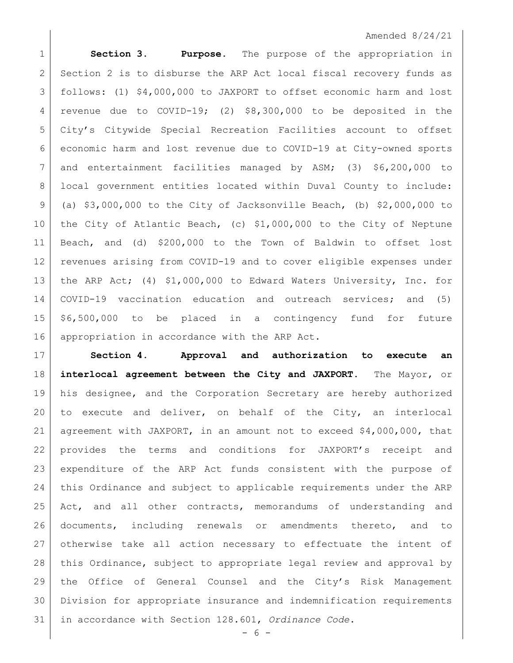**Section 3. Purpose.** The purpose of the appropriation in 2 Section 2 is to disburse the ARP Act local fiscal recovery funds as follows: (1) \$4,000,000 to JAXPORT to offset economic harm and lost revenue due to COVID-19; (2) \$8,300,000 to be deposited in the City's Citywide Special Recreation Facilities account to offset economic harm and lost revenue due to COVID-19 at City-owned sports and entertainment facilities managed by ASM; (3) \$6,200,000 to local government entities located within Duval County to include: 9 (a)  $$3,000,000$  to the City of Jacksonville Beach, (b)  $$2,000,000$  to the City of Atlantic Beach, (c) \$1,000,000 to the City of Neptune Beach, and (d) \$200,000 to the Town of Baldwin to offset lost revenues arising from COVID-19 and to cover eligible expenses under the ARP Act; (4) \$1,000,000 to Edward Waters University, Inc. for COVID-19 vaccination education and outreach services; and (5) \$6,500,000 to be placed in a contingency fund for future 16 appropriation in accordance with the ARP Act.

 **Section 4**. **Approval and authorization to execute an interlocal agreement between the City and JAXPORT.** The Mayor, or his designee, and the Corporation Secretary are hereby authorized to execute and deliver, on behalf of the City, an interlocal agreement with JAXPORT, in an amount not to exceed \$4,000,000, that provides the terms and conditions for JAXPORT's receipt and expenditure of the ARP Act funds consistent with the purpose of this Ordinance and subject to applicable requirements under the ARP 25 Act, and all other contracts, memorandums of understanding and documents, including renewals or amendments thereto, and to otherwise take all action necessary to effectuate the intent of this Ordinance, subject to appropriate legal review and approval by the Office of General Counsel and the City's Risk Management Division for appropriate insurance and indemnification requirements in accordance with Section 128.601, *Ordinance Code*.

- 6 -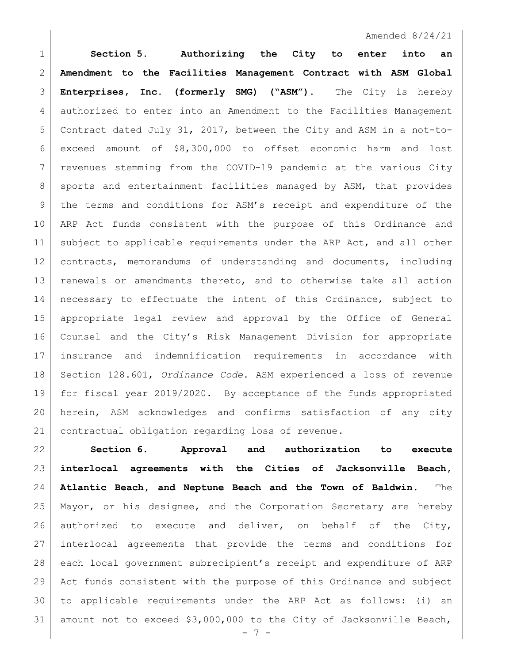**Section 5. Authorizing the City to enter into an Amendment to the Facilities Management Contract with ASM Global Enterprises, Inc. (formerly SMG) ("ASM").** The City is hereby authorized to enter into an Amendment to the Facilities Management Contract dated July 31, 2017, between the City and ASM in a not-to- exceed amount of \$8,300,000 to offset economic harm and lost revenues stemming from the COVID-19 pandemic at the various City 8 sports and entertainment facilities managed by ASM, that provides the terms and conditions for ASM's receipt and expenditure of the ARP Act funds consistent with the purpose of this Ordinance and subject to applicable requirements under the ARP Act, and all other contracts, memorandums of understanding and documents, including renewals or amendments thereto, and to otherwise take all action 14 | necessary to effectuate the intent of this Ordinance, subject to appropriate legal review and approval by the Office of General Counsel and the City's Risk Management Division for appropriate insurance and indemnification requirements in accordance with Section 128.601, *Ordinance Code*. ASM experienced a loss of revenue for fiscal year 2019/2020. By acceptance of the funds appropriated herein, ASM acknowledges and confirms satisfaction of any city 21 contractual obligation regarding loss of revenue.

 **Section 6. Approval and authorization to execute interlocal agreements with the Cities of Jacksonville Beach, Atlantic Beach, and Neptune Beach and the Town of Baldwin.** The Mayor, or his designee, and the Corporation Secretary are hereby 26 authorized to execute and deliver, on behalf of the City, interlocal agreements that provide the terms and conditions for each local government subrecipient's receipt and expenditure of ARP Act funds consistent with the purpose of this Ordinance and subject to applicable requirements under the ARP Act as follows: (i) an 31 amount not to exceed  $$3,000,000$  to the City of Jacksonville Beach,

 $- 7 -$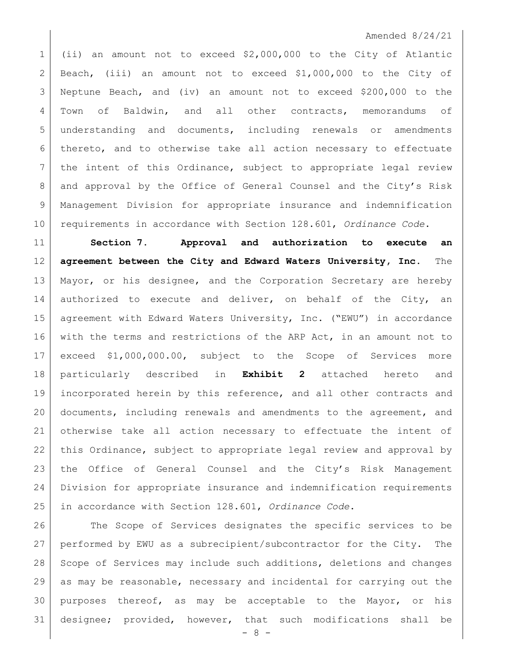(ii) an amount not to exceed \$2,000,000 to the City of Atlantic Beach, (iii) an amount not to exceed \$1,000,000 to the City of Neptune Beach, and (iv) an amount not to exceed \$200,000 to the Town of Baldwin, and all other contracts, memorandums of understanding and documents, including renewals or amendments thereto, and to otherwise take all action necessary to effectuate 7 | the intent of this Ordinance, subject to appropriate legal review and approval by the Office of General Counsel and the City's Risk Management Division for appropriate insurance and indemnification requirements in accordance with Section 128.601, *Ordinance Code*.

 **Section 7. Approval and authorization to execute an agreement between the City and Edward Waters University, Inc.** The Mayor, or his designee, and the Corporation Secretary are hereby 14 authorized to execute and deliver, on behalf of the City, an agreement with Edward Waters University, Inc. ("EWU") in accordance 16 with the terms and restrictions of the ARP Act, in an amount not to exceed \$1,000,000.00, subject to the Scope of Services more particularly described in **Exhibit 2** attached hereto and 19 | incorporated herein by this reference, and all other contracts and documents, including renewals and amendments to the agreement, and otherwise take all action necessary to effectuate the intent of 22 | this Ordinance, subject to appropriate legal review and approval by 23 | the Office of General Counsel and the City's Risk Management Division for appropriate insurance and indemnification requirements in accordance with Section 128.601, *Ordinance Code*.

 The Scope of Services designates the specific services to be performed by EWU as a subrecipient/subcontractor for the City. The 28 Scope of Services may include such additions, deletions and changes as may be reasonable, necessary and incidental for carrying out the purposes thereof, as may be acceptable to the Mayor, or his designee; provided, however, that such modifications shall be

- 8 -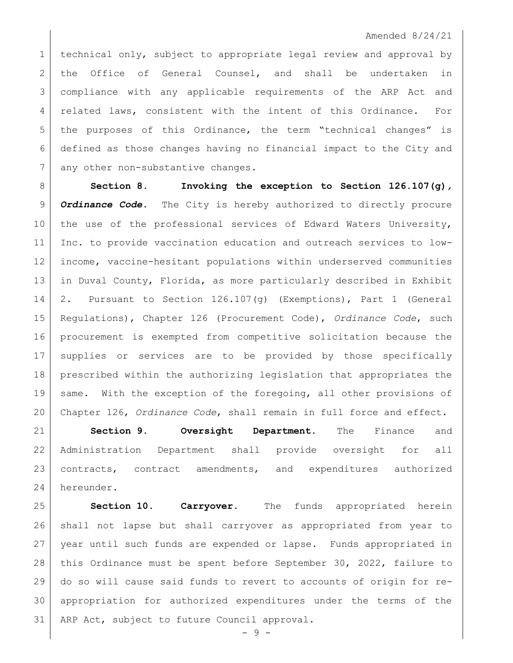technical only, subject to appropriate legal review and approval by the Office of General Counsel, and shall be undertaken in compliance with any applicable requirements of the ARP Act and related laws, consistent with the intent of this Ordinance. For 5 | the purposes of this Ordinance, the term "technical changes" is defined as those changes having no financial impact to the City and 7 any other non-substantive changes.

 **Section 8. Invoking the exception to Section 126.107(g)***, Ordinance Code***.** The City is hereby authorized to directly procure 10 the use of the professional services of Edward Waters University, Inc. to provide vaccination education and outreach services to low- income, vaccine-hesitant populations within underserved communities in Duval County, Florida, as more particularly described in Exhibit 2. Pursuant to Section 126.107(g) (Exemptions), Part 1 (General Regulations), Chapter 126 (Procurement Code), *Ordinance Code*, such procurement is exempted from competitive solicitation because the supplies or services are to be provided by those specifically prescribed within the authorizing legislation that appropriates the 19 same. With the exception of the foregoing, all other provisions of Chapter 126, *Ordinance Code*, shall remain in full force and effect.

 **Section 9. Oversight Department.** The Finance and Administration Department shall provide oversight for all contracts, contract amendments, and expenditures authorized hereunder.

 **Section 10. Carryover.** The funds appropriated herein shall not lapse but shall carryover as appropriated from year to year until such funds are expended or lapse. Funds appropriated in this Ordinance must be spent before September 30, 2022, failure to do so will cause said funds to revert to accounts of origin for re- appropriation for authorized expenditures under the terms of the 31 | ARP Act, subject to future Council approval.

- 9 -